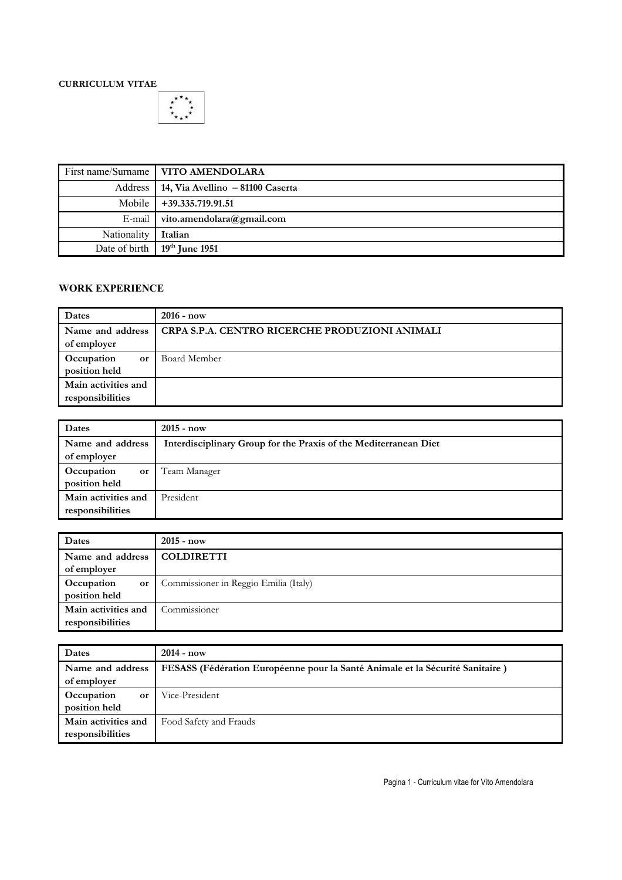**CURRICULUM VITAE**

 $\cdot$ \*\*\*  $\ddot{\cdot}$ 

|               | First name/Surname   VITO AMENDOLARA       |
|---------------|--------------------------------------------|
|               | Address   14, Via Avellino - 81100 Caserta |
|               | Mobile +39.335.719.91.51                   |
|               | E-mail vito.amendolara@gmail.com           |
| Nationality   | Italian                                    |
| Date of birth | $19th$ June 1951                           |

# **WORK EXPERIENCE**

| Dates                   | $2016 - now$                                          |
|-------------------------|-------------------------------------------------------|
| Name and address        | <b>CRPA S.P.A. CENTRO RICERCHE PRODUZIONI ANIMALI</b> |
| of employer             |                                                       |
| Occupation<br><b>or</b> | Board Member                                          |
| position held           |                                                       |
| Main activities and     |                                                       |
| responsibilities        |                                                       |

| Dates               | $2015 - now$                                                     |
|---------------------|------------------------------------------------------------------|
| Name and address    | Interdisciplinary Group for the Praxis of the Mediterranean Diet |
| of employer         |                                                                  |
| Occupation<br>or    | Team Manager                                                     |
| position held       |                                                                  |
| Main activities and | President                                                        |
| responsibilities    |                                                                  |

| Dates               | $2015 - now$                          |
|---------------------|---------------------------------------|
| Name and address    | <b>COLDIRETTI</b>                     |
| of employer         |                                       |
| Occupation<br>or    | Commissioner in Reggio Emilia (Italy) |
| position held       |                                       |
| Main activities and | Commissioner                          |
| responsibilities    |                                       |

| Dates                    | 2014 - now                                                                    |
|--------------------------|-------------------------------------------------------------------------------|
| Name and address         | FESASS (Fédération Européenne pour la Santé Animale et la Sécurité Sanitaire) |
| of employer              |                                                                               |
| Occupation<br>$\alpha$ r | Vice-President                                                                |
| position held            |                                                                               |
| Main activities and      | Food Safety and Frauds                                                        |
| responsibilities         |                                                                               |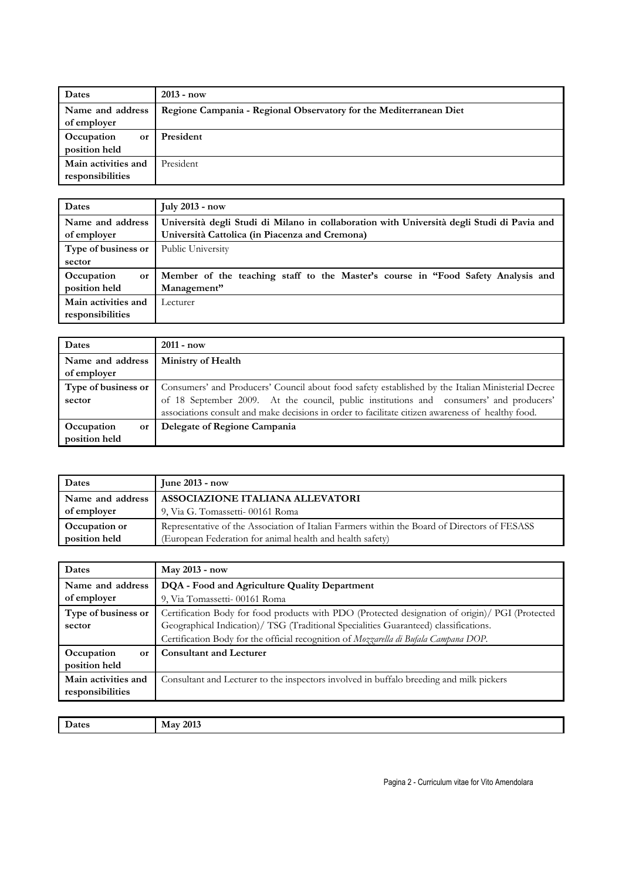| Dates               | $2013 - now$                                                       |
|---------------------|--------------------------------------------------------------------|
| Name and address    | Regione Campania - Regional Observatory for the Mediterranean Diet |
| of employer         |                                                                    |
| Occupation<br>or    | President                                                          |
| position held       |                                                                    |
| Main activities and | President                                                          |
| responsibilities    |                                                                    |

| Dates               | July $2013 - now$                                                                          |
|---------------------|--------------------------------------------------------------------------------------------|
| Name and address    | Università degli Studi di Milano in collaboration with Università degli Studi di Pavia and |
| of employer         | Università Cattolica (in Piacenza and Cremona)                                             |
| Type of business or | Public University                                                                          |
| sector              |                                                                                            |
| Occupation<br>or    | Member of the teaching staff to the Master's course in "Food Safety Analysis and           |
| position held       | Management"                                                                                |
| Main activities and | Lecturer                                                                                   |
| responsibilities    |                                                                                            |

| <b>Dates</b>        | $2011 - now$                                                                                      |
|---------------------|---------------------------------------------------------------------------------------------------|
| Name and address    | Ministry of Health                                                                                |
| of employer         |                                                                                                   |
| Type of business or | Consumers' and Producers' Council about food safety established by the Italian Ministerial Decree |
| sector              | of 18 September 2009. At the council, public institutions and consumers' and producers'           |
|                     | associations consult and make decisions in order to facilitate citizen awareness of healthy food. |
| Occupation<br>or    | Delegate of Regione Campania                                                                      |
| position held       |                                                                                                   |

| Dates            | <b>June 2013 - now</b>                                                                       |
|------------------|----------------------------------------------------------------------------------------------|
| Name and address | ASSOCIAZIONE ITALIANA ALLEVATORI                                                             |
| of employer      | 9, Via G. Tomassetti-00161 Roma                                                              |
| Occupation or    | Representative of the Association of Italian Farmers within the Board of Directors of FESASS |
| position held    | (European Federation for animal health and health safety)                                    |

| Dates                    | May 2013 - now                                                                                  |
|--------------------------|-------------------------------------------------------------------------------------------------|
| Name and address         | DQA - Food and Agriculture Quality Department                                                   |
| of employer              | 9, Via Tomassetti-00161 Roma                                                                    |
| Type of business or      | Certification Body for food products with PDO (Protected designation of origin)/ PGI (Protected |
| sector                   | Geographical Indication)/ TSG (Traditional Specialities Guaranteed) classifications.            |
|                          | Certification Body for the official recognition of Mozzarella di Bufala Campana DOP.            |
| Occupation<br>$\alpha$ r | <b>Consultant and Lecturer</b>                                                                  |
| position held            |                                                                                                 |
| Main activities and      | Consultant and Lecturer to the inspectors involved in buffalo breeding and milk pickers         |
| responsibilities         |                                                                                                 |
|                          |                                                                                                 |

**Dates May 2013**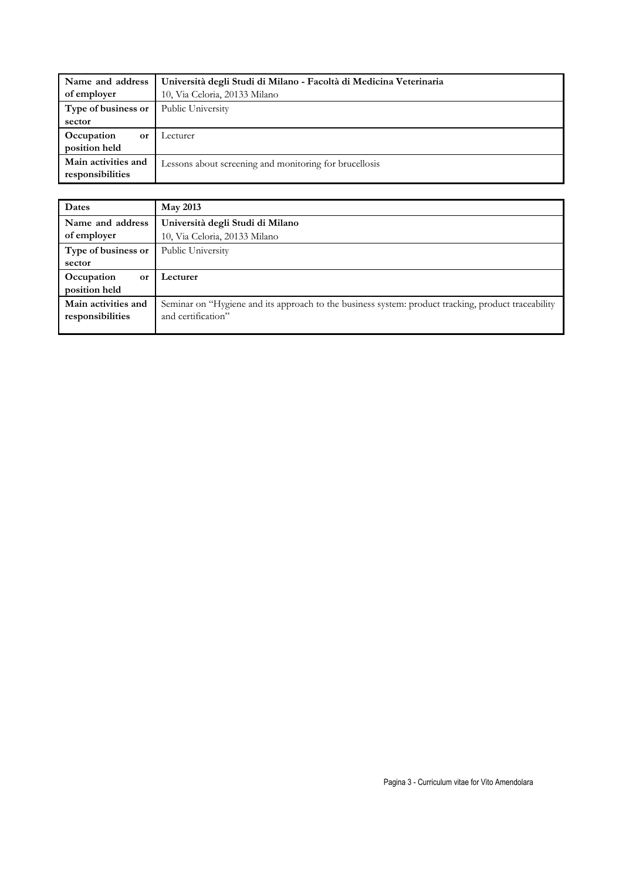| Name and address    | Università degli Studi di Milano - Facoltà di Medicina Veterinaria |
|---------------------|--------------------------------------------------------------------|
| of employer         | 10, Via Celoria, 20133 Milano                                      |
| Type of business or | Public University                                                  |
| sector              |                                                                    |
| Occupation<br>or    | Lecturer                                                           |
| position held       |                                                                    |
| Main activities and | Lessons about screening and monitoring for brucellosis             |
| responsibilities    |                                                                    |

| Dates                    | <b>May 2013</b>                                                                                     |
|--------------------------|-----------------------------------------------------------------------------------------------------|
| Name and address         | Università degli Studi di Milano                                                                    |
| of employer              | 10, Via Celoria, 20133 Milano                                                                       |
| Type of business or      | Public University                                                                                   |
| sector                   |                                                                                                     |
| Occupation<br>$\alpha$ r | Lecturer                                                                                            |
| position held            |                                                                                                     |
| Main activities and      | Seminar on "Hygiene and its approach to the business system: product tracking, product traceability |
| responsibilities         | and certification"                                                                                  |
|                          |                                                                                                     |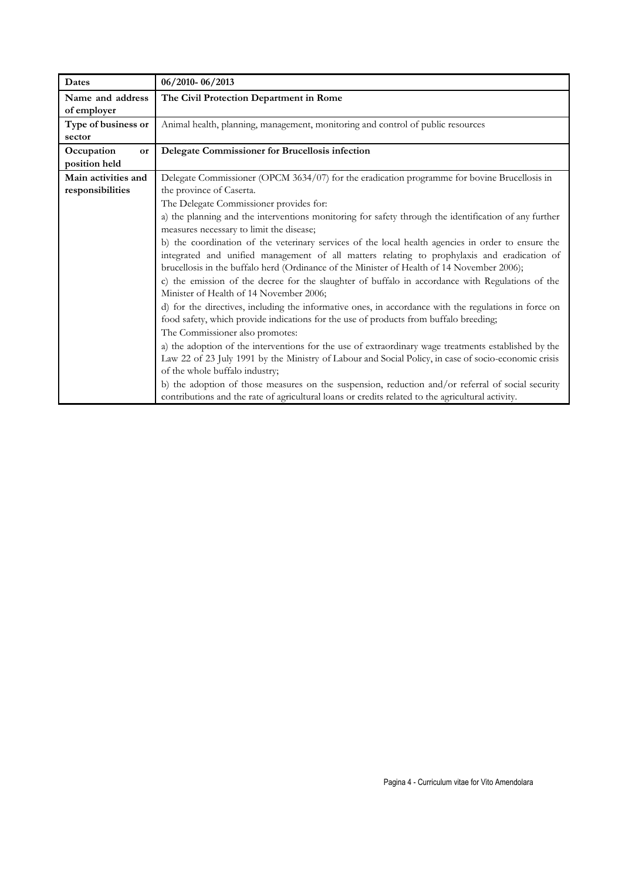| Dates               | 06/2010-06/2013                                                                                                                                                                                                                                                                                 |
|---------------------|-------------------------------------------------------------------------------------------------------------------------------------------------------------------------------------------------------------------------------------------------------------------------------------------------|
| Name and address    | The Civil Protection Department in Rome                                                                                                                                                                                                                                                         |
| of employer         |                                                                                                                                                                                                                                                                                                 |
| Type of business or | Animal health, planning, management, monitoring and control of public resources                                                                                                                                                                                                                 |
| sector              |                                                                                                                                                                                                                                                                                                 |
| Occupation<br>or    | Delegate Commissioner for Brucellosis infection                                                                                                                                                                                                                                                 |
| position held       |                                                                                                                                                                                                                                                                                                 |
| Main activities and | Delegate Commissioner (OPCM 3634/07) for the eradication programme for bovine Brucellosis in                                                                                                                                                                                                    |
| responsibilities    | the province of Caserta.                                                                                                                                                                                                                                                                        |
|                     | The Delegate Commissioner provides for:                                                                                                                                                                                                                                                         |
|                     | a) the planning and the interventions monitoring for safety through the identification of any further                                                                                                                                                                                           |
|                     | measures necessary to limit the disease;                                                                                                                                                                                                                                                        |
|                     | b) the coordination of the veterinary services of the local health agencies in order to ensure the<br>integrated and unified management of all matters relating to prophylaxis and eradication of<br>brucellosis in the buffalo herd (Ordinance of the Minister of Health of 14 November 2006); |
|                     | c) the emission of the decree for the slaughter of buffalo in accordance with Regulations of the<br>Minister of Health of 14 November 2006;                                                                                                                                                     |
|                     | d) for the directives, including the informative ones, in accordance with the regulations in force on                                                                                                                                                                                           |
|                     | food safety, which provide indications for the use of products from buffalo breeding;                                                                                                                                                                                                           |
|                     | The Commissioner also promotes:                                                                                                                                                                                                                                                                 |
|                     | a) the adoption of the interventions for the use of extraordinary wage treatments established by the                                                                                                                                                                                            |
|                     | Law 22 of 23 July 1991 by the Ministry of Labour and Social Policy, in case of socio-economic crisis                                                                                                                                                                                            |
|                     | of the whole buffalo industry;                                                                                                                                                                                                                                                                  |
|                     | b) the adoption of those measures on the suspension, reduction and/or referral of social security<br>contributions and the rate of agricultural loans or credits related to the agricultural activity.                                                                                          |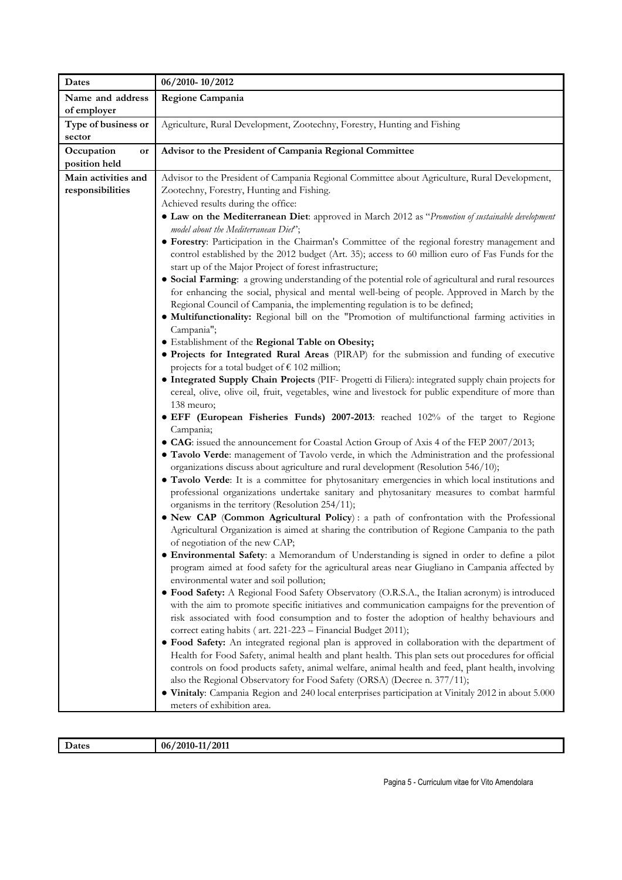| Dates                                   | 06/2010-10/2012                                                                                                                                                                                                                                                                                                                                                                                                                                                                                                                                                                                                                                                                                                                                                                                                                                                                                                                                                                                                                                                                                                                                                                                                                                                                                                                                                                                                                                                                                                                                                                                                                                                                                                                                                                                                                                                                                                          |
|-----------------------------------------|--------------------------------------------------------------------------------------------------------------------------------------------------------------------------------------------------------------------------------------------------------------------------------------------------------------------------------------------------------------------------------------------------------------------------------------------------------------------------------------------------------------------------------------------------------------------------------------------------------------------------------------------------------------------------------------------------------------------------------------------------------------------------------------------------------------------------------------------------------------------------------------------------------------------------------------------------------------------------------------------------------------------------------------------------------------------------------------------------------------------------------------------------------------------------------------------------------------------------------------------------------------------------------------------------------------------------------------------------------------------------------------------------------------------------------------------------------------------------------------------------------------------------------------------------------------------------------------------------------------------------------------------------------------------------------------------------------------------------------------------------------------------------------------------------------------------------------------------------------------------------------------------------------------------------|
| Name and address<br>of employer         | Regione Campania                                                                                                                                                                                                                                                                                                                                                                                                                                                                                                                                                                                                                                                                                                                                                                                                                                                                                                                                                                                                                                                                                                                                                                                                                                                                                                                                                                                                                                                                                                                                                                                                                                                                                                                                                                                                                                                                                                         |
| Type of business or<br>sector           | Agriculture, Rural Development, Zootechny, Forestry, Hunting and Fishing                                                                                                                                                                                                                                                                                                                                                                                                                                                                                                                                                                                                                                                                                                                                                                                                                                                                                                                                                                                                                                                                                                                                                                                                                                                                                                                                                                                                                                                                                                                                                                                                                                                                                                                                                                                                                                                 |
| Occupation<br>or<br>position held       | Advisor to the President of Campania Regional Committee                                                                                                                                                                                                                                                                                                                                                                                                                                                                                                                                                                                                                                                                                                                                                                                                                                                                                                                                                                                                                                                                                                                                                                                                                                                                                                                                                                                                                                                                                                                                                                                                                                                                                                                                                                                                                                                                  |
| Main activities and<br>responsibilities | Advisor to the President of Campania Regional Committee about Agriculture, Rural Development,<br>Zootechny, Forestry, Hunting and Fishing.<br>Achieved results during the office:<br>• Law on the Mediterranean Diet: approved in March 2012 as "Promotion of sustainable development<br>model about the Mediterranean Diet";<br>• Forestry: Participation in the Chairman's Committee of the regional forestry management and<br>control established by the 2012 budget (Art. 35); access to 60 million euro of Fas Funds for the<br>start up of the Major Project of forest infrastructure;<br>• Social Farming: a growing understanding of the potential role of agricultural and rural resources<br>for enhancing the social, physical and mental well-being of people. Approved in March by the<br>Regional Council of Campania, the implementing regulation is to be defined;<br>• Multifunctionality: Regional bill on the "Promotion of multifunctional farming activities in<br>Campania";<br>• Establishment of the Regional Table on Obesity;<br>. Projects for Integrated Rural Areas (PIRAP) for the submission and funding of executive<br>projects for a total budget of $\epsilon$ 102 million;<br>• Integrated Supply Chain Projects (PIF- Progetti di Filiera): integrated supply chain projects for<br>cereal, olive, olive oil, fruit, vegetables, wine and livestock for public expenditure of more than<br>138 meuro;<br>• EFF (European Fisheries Funds) 2007-2013: reached 102% of the target to Regione                                                                                                                                                                                                                                                                                                                                                                                         |
|                                         | Campania;<br>• CAG: issued the announcement for Coastal Action Group of Axis 4 of the FEP 2007/2013;<br>· Tavolo Verde: management of Tavolo verde, in which the Administration and the professional<br>organizations discuss about agriculture and rural development (Resolution 546/10);<br>• Tavolo Verde: It is a committee for phytosanitary emergencies in which local institutions and<br>professional organizations undertake sanitary and phytosanitary measures to combat harmful<br>organisms in the territory (Resolution 254/11);<br>. New CAP (Common Agricultural Policy): a path of confrontation with the Professional<br>Agricultural Organization is aimed at sharing the contribution of Regione Campania to the path<br>of negotiation of the new CAP;<br>• Environmental Safety: a Memorandum of Understanding is signed in order to define a pilot<br>program aimed at food safety for the agricultural areas near Giugliano in Campania affected by<br>environmental water and soil pollution;<br>• Food Safety: A Regional Food Safety Observatory (O.R.S.A., the Italian acronym) is introduced<br>with the aim to promote specific initiatives and communication campaigns for the prevention of<br>risk associated with food consumption and to foster the adoption of healthy behaviours and<br>correct eating habits (art. 221-223 - Financial Budget 2011);<br>• Food Safety: An integrated regional plan is approved in collaboration with the department of<br>Health for Food Safety, animal health and plant health. This plan sets out procedures for official<br>controls on food products safety, animal welfare, animal health and feed, plant health, involving<br>also the Regional Observatory for Food Safety (ORSA) (Decree n. 377/11);<br>· Vinitaly: Campania Region and 240 local enterprises participation at Vinitaly 2012 in about 5.000<br>meters of exhibition area. |

**Dates 06/2010-11/2011**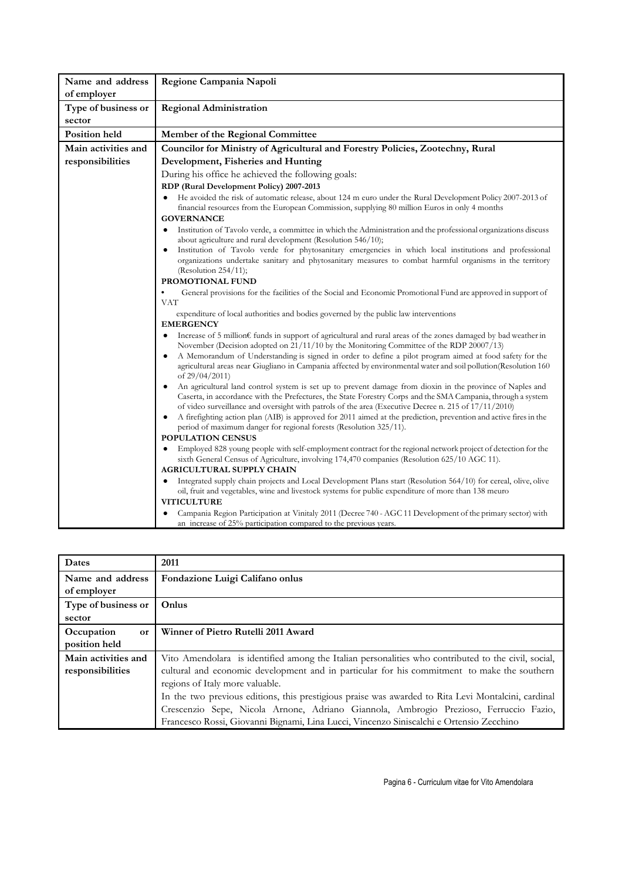| Name and address    | Regione Campania Napoli                                                                                                                                                                                                                                                                                                                                                                                                                                                                                                         |
|---------------------|---------------------------------------------------------------------------------------------------------------------------------------------------------------------------------------------------------------------------------------------------------------------------------------------------------------------------------------------------------------------------------------------------------------------------------------------------------------------------------------------------------------------------------|
| of employer         |                                                                                                                                                                                                                                                                                                                                                                                                                                                                                                                                 |
| Type of business or | <b>Regional Administration</b>                                                                                                                                                                                                                                                                                                                                                                                                                                                                                                  |
| sector              |                                                                                                                                                                                                                                                                                                                                                                                                                                                                                                                                 |
| Position held       | Member of the Regional Committee                                                                                                                                                                                                                                                                                                                                                                                                                                                                                                |
| Main activities and | Councilor for Ministry of Agricultural and Forestry Policies, Zootechny, Rural                                                                                                                                                                                                                                                                                                                                                                                                                                                  |
| responsibilities    | Development, Fisheries and Hunting                                                                                                                                                                                                                                                                                                                                                                                                                                                                                              |
|                     | During his office he achieved the following goals:                                                                                                                                                                                                                                                                                                                                                                                                                                                                              |
|                     | RDP (Rural Development Policy) 2007-2013                                                                                                                                                                                                                                                                                                                                                                                                                                                                                        |
|                     | He avoided the risk of automatic release, about 124 m euro under the Rural Development Policy 2007-2013 of<br>financial resources from the European Commission, supplying 80 million Euros in only 4 months                                                                                                                                                                                                                                                                                                                     |
|                     | <b>GOVERNANCE</b>                                                                                                                                                                                                                                                                                                                                                                                                                                                                                                               |
|                     | Institution of Tavolo verde, a committee in which the Administration and the professional organizations discuss<br>$\bullet$<br>about agriculture and rural development (Resolution 546/10);                                                                                                                                                                                                                                                                                                                                    |
|                     | Institution of Tavolo verde for phytosanitary emergencies in which local institutions and professional<br>organizations undertake sanitary and phytosanitary measures to combat harmful organisms in the territory<br>(Resolution 254/11);                                                                                                                                                                                                                                                                                      |
|                     | PROMOTIONAL FUND                                                                                                                                                                                                                                                                                                                                                                                                                                                                                                                |
|                     | $\bullet$<br>General provisions for the facilities of the Social and Economic Promotional Fund are approved in support of<br><b>VAT</b>                                                                                                                                                                                                                                                                                                                                                                                         |
|                     | expenditure of local authorities and bodies governed by the public law interventions                                                                                                                                                                                                                                                                                                                                                                                                                                            |
|                     | <b>EMERGENCY</b>                                                                                                                                                                                                                                                                                                                                                                                                                                                                                                                |
|                     | Increase of 5 million€ funds in support of agricultural and rural areas of the zones damaged by bad weather in<br>$\bullet$<br>November (Decision adopted on $21/11/10$ by the Monitoring Committee of the RDP 20007/13)<br>A Memorandum of Understanding is signed in order to define a pilot program aimed at food safety for the<br>agricultural areas near Giugliano in Campania affected by environmental water and soil pollution(Resolution 160<br>of $29/04/2011$                                                       |
|                     | An agricultural land control system is set up to prevent damage from dioxin in the province of Naples and<br>Caserta, in accordance with the Prefectures, the State Forestry Corps and the SMA Campania, through a system<br>of video surveillance and oversight with patrols of the area (Executive Decree n. 215 of $17/11/2010$ )<br>A firefighting action plan (AIB) is approved for 2011 aimed at the prediction, prevention and active fires in the<br>period of maximum danger for regional forests (Resolution 325/11). |
|                     | <b>POPULATION CENSUS</b>                                                                                                                                                                                                                                                                                                                                                                                                                                                                                                        |
|                     | Employed 828 young people with self-employment contract for the regional network project of detection for the<br>٠<br>sixth General Census of Agriculture, involving 174,470 companies (Resolution 625/10 AGC 11).                                                                                                                                                                                                                                                                                                              |
|                     | AGRICULTURAL SUPPLY CHAIN                                                                                                                                                                                                                                                                                                                                                                                                                                                                                                       |
|                     | Integrated supply chain projects and Local Development Plans start (Resolution 564/10) for cereal, olive, olive<br>$\bullet$<br>oil, fruit and vegetables, wine and livestock systems for public expenditure of more than 138 meuro                                                                                                                                                                                                                                                                                             |
|                     | <b>VITICULTURE</b>                                                                                                                                                                                                                                                                                                                                                                                                                                                                                                              |
|                     | Campania Region Participation at Vinitaly 2011 (Decree 740 - AGC 11 Development of the primary sector) with<br>an increase of 25% participation compared to the previous years.                                                                                                                                                                                                                                                                                                                                                 |

| Dates                    | 2011                                                                                                |
|--------------------------|-----------------------------------------------------------------------------------------------------|
| Name and address         | Fondazione Luigi Califano onlus                                                                     |
| of employer              |                                                                                                     |
| Type of business or      | Onlus                                                                                               |
| sector                   |                                                                                                     |
| Occupation<br>$\alpha$ r | Winner of Pietro Rutelli 2011 Award                                                                 |
| position held            |                                                                                                     |
| Main activities and      | Vito Amendolara is identified among the Italian personalities who contributed to the civil, social, |
| responsibilities         | cultural and economic development and in particular for his commitment to make the southern         |
|                          | regions of Italy more valuable.                                                                     |
|                          | In the two previous editions, this prestigious praise was awarded to Rita Levi Montalcini, cardinal |
|                          | Crescenzio Sepe, Nicola Arnone, Adriano Giannola, Ambrogio Prezioso, Ferruccio Fazio,               |
|                          | Francesco Rossi, Giovanni Bignami, Lina Lucci, Vincenzo Siniscalchi e Ortensio Zecchino             |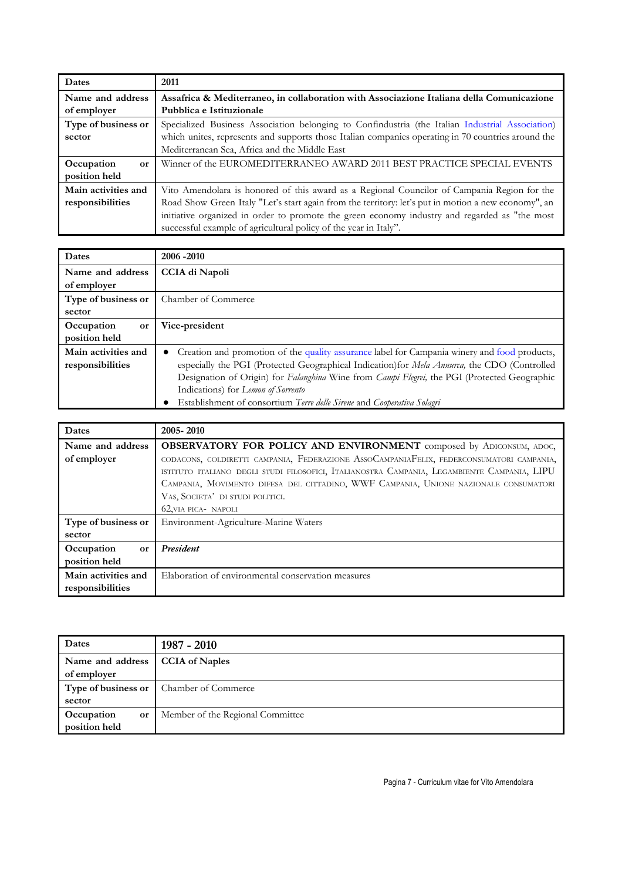| <b>Dates</b>             | 2011                                                                                                |
|--------------------------|-----------------------------------------------------------------------------------------------------|
| Name and address         | Assafrica & Mediterraneo, in collaboration with Associazione Italiana della Comunicazione           |
| of employer              | Pubblica e Istituzionale                                                                            |
| Type of business or      | Specialized Business Association belonging to Confindustria (the Italian Industrial Association)    |
| sector                   | which unites, represents and supports those Italian companies operating in 70 countries around the  |
|                          | Mediterranean Sea, Africa and the Middle East                                                       |
| Occupation<br>$\alpha$ r | Winner of the EUROMEDITERRANEO AWARD 2011 BEST PRACTICE SPECIAL EVENTS                              |
| position held            |                                                                                                     |
| Main activities and      | Vito Amendolara is honored of this award as a Regional Councilor of Campania Region for the         |
| responsibilities         | Road Show Green Italy "Let's start again from the territory: let's put in motion a new economy", an |
|                          | initiative organized in order to promote the green economy industry and regarded as "the most       |
|                          | successful example of agricultural policy of the year in Italy".                                    |

| Dates               | 2006 - 2010                                                                                    |
|---------------------|------------------------------------------------------------------------------------------------|
| Name and address    | CCIA di Napoli                                                                                 |
| of employer         |                                                                                                |
| Type of business or | Chamber of Commerce                                                                            |
| sector              |                                                                                                |
| Occupation<br>or    | Vice-president                                                                                 |
| position held       |                                                                                                |
| Main activities and | • Creation and promotion of the quality assurance label for Campania winery and food products, |
| responsibilities    | especially the PGI (Protected Geographical Indication) for Mela Annurca, the CDO (Controlled   |
|                     | Designation of Origin) for Falanghina Wine from Campi Flegrei, the PGI (Protected Geographic   |
|                     | Indications) for Lemon of Sorrento                                                             |
|                     | Establishment of consortium Terre delle Sirene and Cooperativa Solagri                         |

| Dates                   | 2005-2010                                                                                   |
|-------------------------|---------------------------------------------------------------------------------------------|
| Name and address        | <b>OBSERVATORY FOR POLICY AND ENVIRONMENT</b> composed by ADICONSUM, ADOC,                  |
| of employer             | CODACONS, COLDIRETTI CAMPANIA, FEDERAZIONE ASSOCAMPANIAFELIX, FEDERCONSUMATORI CAMPANIA,    |
|                         | ISTITUTO ITALIANO DEGLI STUDI FILOSOFICI, ITALIANOSTRA CAMPANIA, LEGAMBIENTE CAMPANIA, LIPU |
|                         | CAMPANIA, MOVIMENTO DIFESA DEL CITTADINO, WWF CAMPANIA, UNIONE NAZIONALE CONSUMATORI        |
|                         | VAS, SOCIETA' DI STUDI POLITICI.                                                            |
|                         | 62, VIA PICA- NAPOLI                                                                        |
| Type of business or     | Environment-Agriculture-Marine Waters                                                       |
| sector                  |                                                                                             |
| Occupation<br><b>or</b> | President                                                                                   |
| position held           |                                                                                             |
| Main activities and     | Elaboration of environmental conservation measures                                          |
| responsibilities        |                                                                                             |

| Dates                   | 1987 - 2010                      |
|-------------------------|----------------------------------|
| Name and address        | <b>CCIA</b> of Naples            |
| of employer             |                                  |
| Type of business or     | Chamber of Commerce              |
| sector                  |                                  |
| Occupation<br><b>or</b> | Member of the Regional Committee |
| position held           |                                  |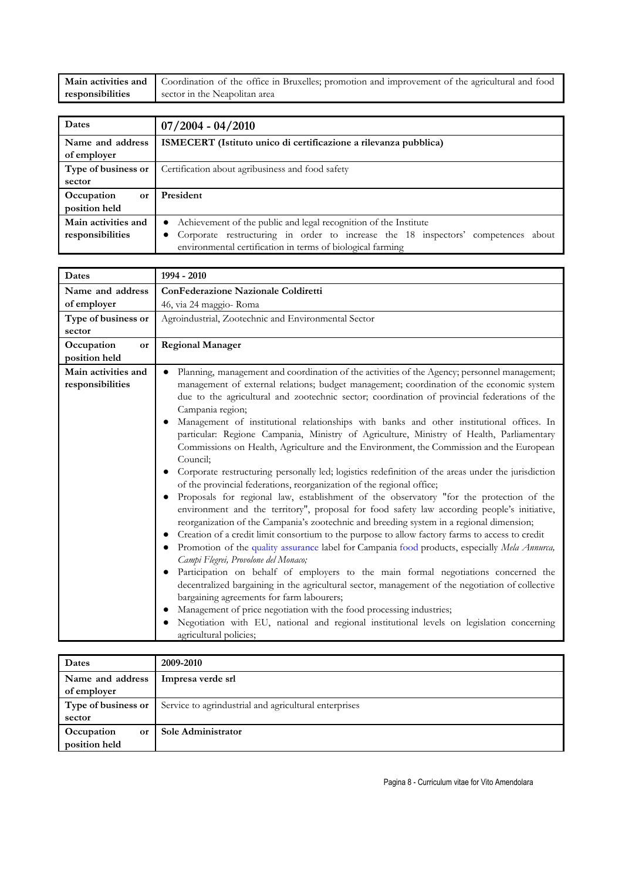**Main activities and responsibilities** Coordination of the office in Bruxelles; promotion and improvement of the agricultural and food sector in the Neapolitan area

| Dates                    | $07/2004 - 04/2010$                                                                    |
|--------------------------|----------------------------------------------------------------------------------------|
| Name and address         | <b>ISMECERT</b> (Istituto unico di certificazione a rilevanza pubblica)                |
| of employer              |                                                                                        |
| Type of business or      | Certification about agribusiness and food safety                                       |
| sector                   |                                                                                        |
| Occupation<br>$\alpha$ r | President                                                                              |
| position held            |                                                                                        |
| Main activities and      | • Achievement of the public and legal recognition of the Institute                     |
| responsibilities         | • Corporate restructuring in order to increase the 18 inspectors' competences<br>about |
|                          | environmental certification in terms of biological farming                             |

| Dates                                   | 1994 - 2010                                                                                                                                                                                                                                                                                                                                                                                                                                                                                                                                                                                                                                                                                                                                                                                                                                                                                                                                                                                                                                                                                                                                                                                                                                                                                                                                                                                                                                                                                                                                                                                                                                                                                                                                                        |
|-----------------------------------------|--------------------------------------------------------------------------------------------------------------------------------------------------------------------------------------------------------------------------------------------------------------------------------------------------------------------------------------------------------------------------------------------------------------------------------------------------------------------------------------------------------------------------------------------------------------------------------------------------------------------------------------------------------------------------------------------------------------------------------------------------------------------------------------------------------------------------------------------------------------------------------------------------------------------------------------------------------------------------------------------------------------------------------------------------------------------------------------------------------------------------------------------------------------------------------------------------------------------------------------------------------------------------------------------------------------------------------------------------------------------------------------------------------------------------------------------------------------------------------------------------------------------------------------------------------------------------------------------------------------------------------------------------------------------------------------------------------------------------------------------------------------------|
| Name and address                        | ConFederazione Nazionale Coldiretti                                                                                                                                                                                                                                                                                                                                                                                                                                                                                                                                                                                                                                                                                                                                                                                                                                                                                                                                                                                                                                                                                                                                                                                                                                                                                                                                                                                                                                                                                                                                                                                                                                                                                                                                |
| of employer                             | 46, via 24 maggio- Roma                                                                                                                                                                                                                                                                                                                                                                                                                                                                                                                                                                                                                                                                                                                                                                                                                                                                                                                                                                                                                                                                                                                                                                                                                                                                                                                                                                                                                                                                                                                                                                                                                                                                                                                                            |
| Type of business or                     | Agroindustrial, Zootechnic and Environmental Sector                                                                                                                                                                                                                                                                                                                                                                                                                                                                                                                                                                                                                                                                                                                                                                                                                                                                                                                                                                                                                                                                                                                                                                                                                                                                                                                                                                                                                                                                                                                                                                                                                                                                                                                |
| sector                                  |                                                                                                                                                                                                                                                                                                                                                                                                                                                                                                                                                                                                                                                                                                                                                                                                                                                                                                                                                                                                                                                                                                                                                                                                                                                                                                                                                                                                                                                                                                                                                                                                                                                                                                                                                                    |
| Occupation<br>or                        | <b>Regional Manager</b>                                                                                                                                                                                                                                                                                                                                                                                                                                                                                                                                                                                                                                                                                                                                                                                                                                                                                                                                                                                                                                                                                                                                                                                                                                                                                                                                                                                                                                                                                                                                                                                                                                                                                                                                            |
| position held                           |                                                                                                                                                                                                                                                                                                                                                                                                                                                                                                                                                                                                                                                                                                                                                                                                                                                                                                                                                                                                                                                                                                                                                                                                                                                                                                                                                                                                                                                                                                                                                                                                                                                                                                                                                                    |
| Main activities and<br>responsibilities | Planning, management and coordination of the activities of the Agency; personnel management;<br>management of external relations; budget management; coordination of the economic system<br>due to the agricultural and zootechnic sector; coordination of provincial federations of the<br>Campania region;<br>Management of institutional relationships with banks and other institutional offices. In<br>particular: Regione Campania, Ministry of Agriculture, Ministry of Health, Parliamentary<br>Commissions on Health, Agriculture and the Environment, the Commission and the European<br>Council:<br>Corporate restructuring personally led; logistics redefinition of the areas under the jurisdiction<br>of the provincial federations, reorganization of the regional office;<br>Proposals for regional law, establishment of the observatory "for the protection of the<br>environment and the territory", proposal for food safety law according people's initiative,<br>reorganization of the Campania's zootechnic and breeding system in a regional dimension;<br>Creation of a credit limit consortium to the purpose to allow factory farms to access to credit<br>Promotion of the quality assurance label for Campania food products, especially Mela Annurca,<br>Campi Flegrei, Provolone del Monaco;<br>Participation on behalf of employers to the main formal negotiations concerned the<br>decentralized bargaining in the agricultural sector, management of the negotiation of collective<br>bargaining agreements for farm labourers;<br>Management of price negotiation with the food processing industries;<br>Negotiation with EU, national and regional institutional levels on legislation concerning<br>agricultural policies; |

| <b>Dates</b>            | 2009-2010                                             |
|-------------------------|-------------------------------------------------------|
| Name and address        | Impresa verde srl                                     |
| of employer             |                                                       |
| Type of business or     | Service to agrindustrial and agricultural enterprises |
| sector                  |                                                       |
| <b>Occupation</b><br>or | Sole Administrator                                    |
| position held           |                                                       |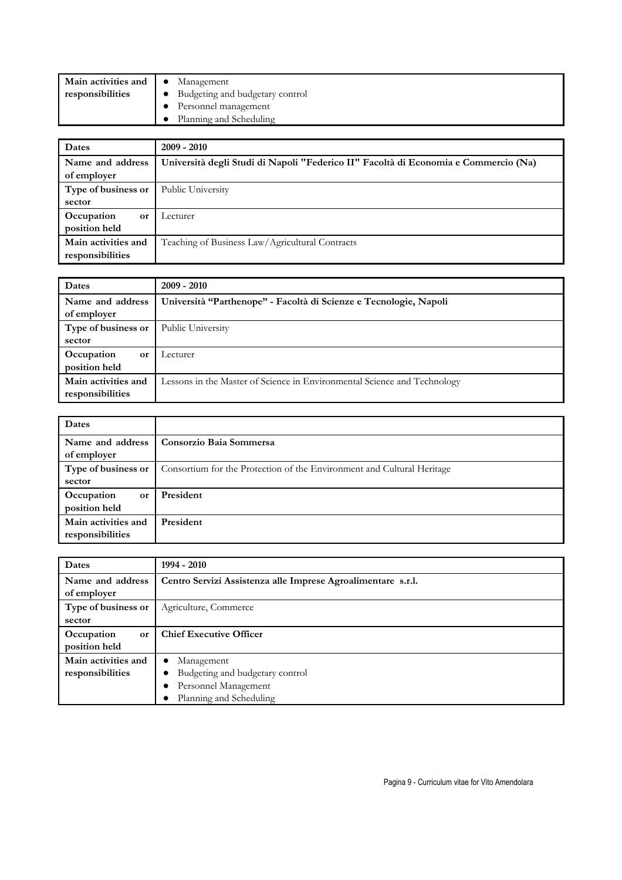| <b>Main activities and <math>\bullet</math></b> Management |                                   |
|------------------------------------------------------------|-----------------------------------|
| responsibilities                                           | • Budgeting and budgetary control |
|                                                            | • Personnel management            |
|                                                            | Planning and Scheduling           |

| Dates                   | $2009 - 2010$                                                                       |
|-------------------------|-------------------------------------------------------------------------------------|
| Name and address        | Università degli Studi di Napoli "Federico II" Facoltà di Economia e Commercio (Na) |
| of employer             |                                                                                     |
| Type of business or     | Public University                                                                   |
| sector                  |                                                                                     |
| Occupation<br><b>or</b> | Lecturer                                                                            |
| position held           |                                                                                     |
| Main activities and     | Teaching of Business Law/Agricultural Contracts                                     |
| responsibilities        |                                                                                     |

| Dates                    | $2009 - 2010$                                                            |
|--------------------------|--------------------------------------------------------------------------|
| Name and address         | Università "Parthenope" - Facoltà di Scienze e Tecnologie, Napoli        |
| of employer              |                                                                          |
| Type of business or      | Public University                                                        |
| sector                   |                                                                          |
| Occupation<br>$\alpha$ r | Lecturer                                                                 |
| position held            |                                                                          |
| Main activities and      | Lessons in the Master of Science in Environmental Science and Technology |
| responsibilities         |                                                                          |

| Dates                                    |                                                                        |
|------------------------------------------|------------------------------------------------------------------------|
| Name and address<br>of employer          | Consorzio Baia Sommersa                                                |
| Type of business or<br>sector            | Consortium for the Protection of the Environment and Cultural Heritage |
| Occupation<br><b>or</b><br>position held | President                                                              |
| Main activities and<br>responsibilities  | President                                                              |

| Dates                   | 1994 - 2010                                                  |
|-------------------------|--------------------------------------------------------------|
| Name and address        | Centro Servizi Assistenza alle Imprese Agroalimentare s.r.l. |
| of employer             |                                                              |
| Type of business or     | Agriculture, Commerce                                        |
| sector                  |                                                              |
| Occupation<br><b>or</b> | <b>Chief Executive Officer</b>                               |
| position held           |                                                              |
| Main activities and     | Management                                                   |
| responsibilities        | Budgeting and budgetary control                              |
|                         | Personnel Management                                         |
|                         | Planning and Scheduling                                      |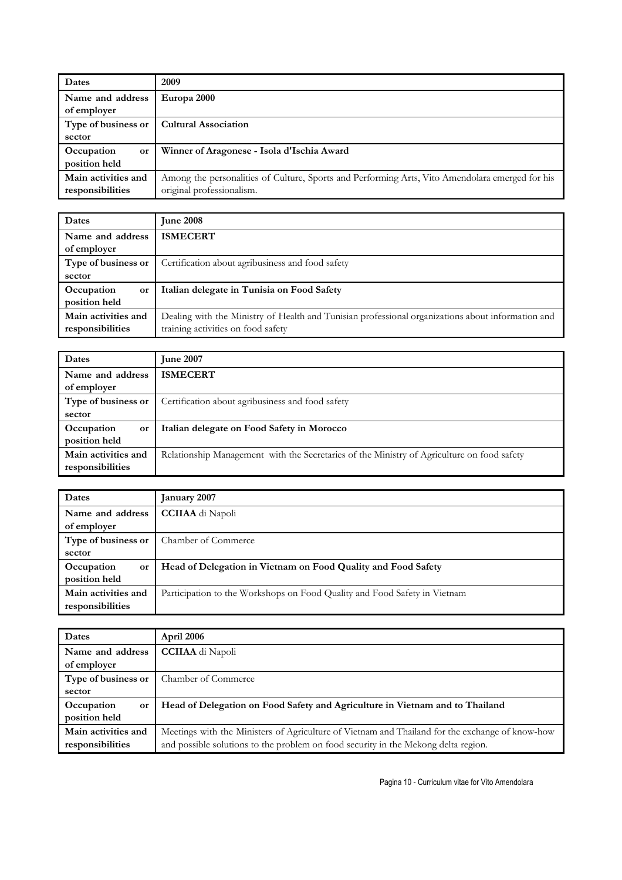| Dates               | 2009                                                                                            |
|---------------------|-------------------------------------------------------------------------------------------------|
| Name and address    | Europa 2000                                                                                     |
| of employer         |                                                                                                 |
| Type of business or | <b>Cultural Association</b>                                                                     |
| sector              |                                                                                                 |
| Occupation<br>or    | Winner of Aragonese - Isola d'Ischia Award                                                      |
| position held       |                                                                                                 |
| Main activities and | Among the personalities of Culture, Sports and Performing Arts, Vito Amendolara emerged for his |
| responsibilities    | original professionalism.                                                                       |

| Dates                                   | <b>June 2008</b>                                                                                                                        |
|-----------------------------------------|-----------------------------------------------------------------------------------------------------------------------------------------|
| Name and address<br>of employer         | <b>ISMECERT</b>                                                                                                                         |
| Type of business or<br>sector           | Certification about agribusiness and food safety                                                                                        |
| Occupation<br>or<br>position held       | Italian delegate in Tunisia on Food Safety                                                                                              |
| Main activities and<br>responsibilities | Dealing with the Ministry of Health and Tunisian professional organizations about information and<br>training activities on food safety |

| Dates               | <b>June 2007</b>                                                                           |
|---------------------|--------------------------------------------------------------------------------------------|
| Name and address    | <b>ISMECERT</b>                                                                            |
| of employer         |                                                                                            |
| Type of business or | Certification about agribusiness and food safety                                           |
| sector              |                                                                                            |
| Occupation<br>or    | Italian delegate on Food Safety in Morocco                                                 |
| position held       |                                                                                            |
| Main activities and | Relationship Management with the Secretaries of the Ministry of Agriculture on food safety |
| responsibilities    |                                                                                            |

| Dates               | January 2007                                                              |
|---------------------|---------------------------------------------------------------------------|
| Name and address    | <b>CCIIAA</b> di Napoli                                                   |
| of employer         |                                                                           |
| Type of business or | Chamber of Commerce                                                       |
| sector              |                                                                           |
| Occupation<br>or    | Head of Delegation in Vietnam on Food Quality and Food Safety             |
| position held       |                                                                           |
| Main activities and | Participation to the Workshops on Food Quality and Food Safety in Vietnam |
| responsibilities    |                                                                           |

| Dates               | April 2006                                                                                      |
|---------------------|-------------------------------------------------------------------------------------------------|
| Name and address    | <b>CCIIAA</b> di Napoli                                                                         |
| of employer         |                                                                                                 |
| Type of business or | Chamber of Commerce                                                                             |
| sector              |                                                                                                 |
| Occupation<br>or    | Head of Delegation on Food Safety and Agriculture in Vietnam and to Thailand                    |
| position held       |                                                                                                 |
| Main activities and | Meetings with the Ministers of Agriculture of Vietnam and Thailand for the exchange of know-how |
| responsibilities    | and possible solutions to the problem on food security in the Mekong delta region.              |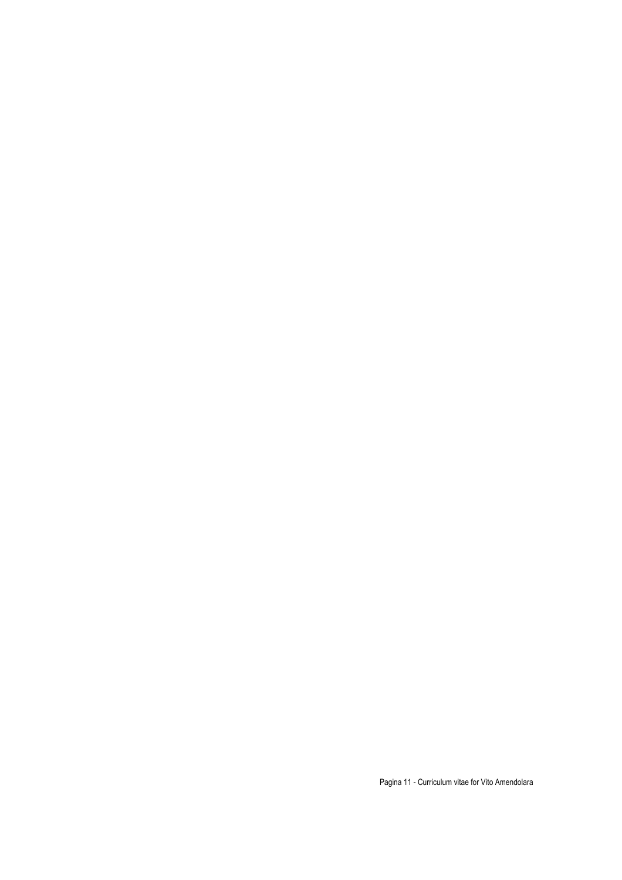Pagina 11 - Curriculum vitae for Vito Amendolara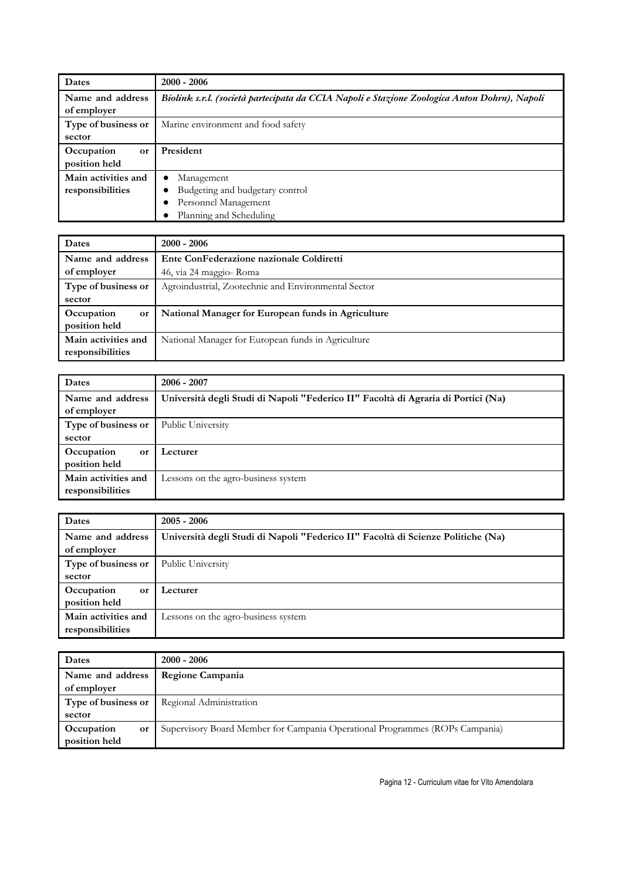| Dates               | $2000 - 2006$                                                                                |
|---------------------|----------------------------------------------------------------------------------------------|
| Name and address    | Biolink s.r.l. (società partecipata da CCIA Napoli e Stazione Zoologica Anton Dohrn), Napoli |
| of employer         |                                                                                              |
| Type of business or | Marine environment and food safety                                                           |
| sector              |                                                                                              |
| Occupation<br>or    | President                                                                                    |
| position held       |                                                                                              |
| Main activities and | Management<br>$\bullet$                                                                      |
| responsibilities    | Budgeting and budgetary control                                                              |
|                     | Personnel Management                                                                         |
|                     | Planning and Scheduling                                                                      |

| Dates               | $2000 - 2006$                                       |
|---------------------|-----------------------------------------------------|
| Name and address    | Ente ConFederazione nazionale Coldiretti            |
| of employer         | 46, via 24 maggio- Roma                             |
| Type of business or | Agroindustrial, Zootechnic and Environmental Sector |
| sector              |                                                     |
| Occupation<br>or    | National Manager for European funds in Agriculture  |
| position held       |                                                     |
| Main activities and | National Manager for European funds in Agriculture  |
| responsibilities    |                                                     |

| Dates                                     | $2006 - 2007$                                                                     |
|-------------------------------------------|-----------------------------------------------------------------------------------|
| Name and address<br>of employer           | Università degli Studi di Napoli "Federico II" Facoltà di Agraria di Portici (Na) |
| Type of business or<br>sector             | Public University                                                                 |
| Occupation<br>$\alpha$ r<br>position held | Lecturer                                                                          |
| Main activities and<br>responsibilities   | Lessons on the agro-business system                                               |

| Dates               | $2005 - 2006$                                                                    |
|---------------------|----------------------------------------------------------------------------------|
| Name and address    | Università degli Studi di Napoli "Federico II" Facoltà di Scienze Politiche (Na) |
| of employer         |                                                                                  |
| Type of business or | Public University                                                                |
| sector              |                                                                                  |
| Occupation<br>or    | Lecturer                                                                         |
| position held       |                                                                                  |
| Main activities and | Lessons on the agro-business system                                              |
| responsibilities    |                                                                                  |

| <b>Dates</b>        | $2000 - 2006$                                                                |
|---------------------|------------------------------------------------------------------------------|
| Name and address    | Regione Campania                                                             |
| of employer         |                                                                              |
| Type of business or | Regional Administration                                                      |
| sector              |                                                                              |
| Occupation<br>or    | Supervisory Board Member for Campania Operational Programmes (ROPs Campania) |
| position held       |                                                                              |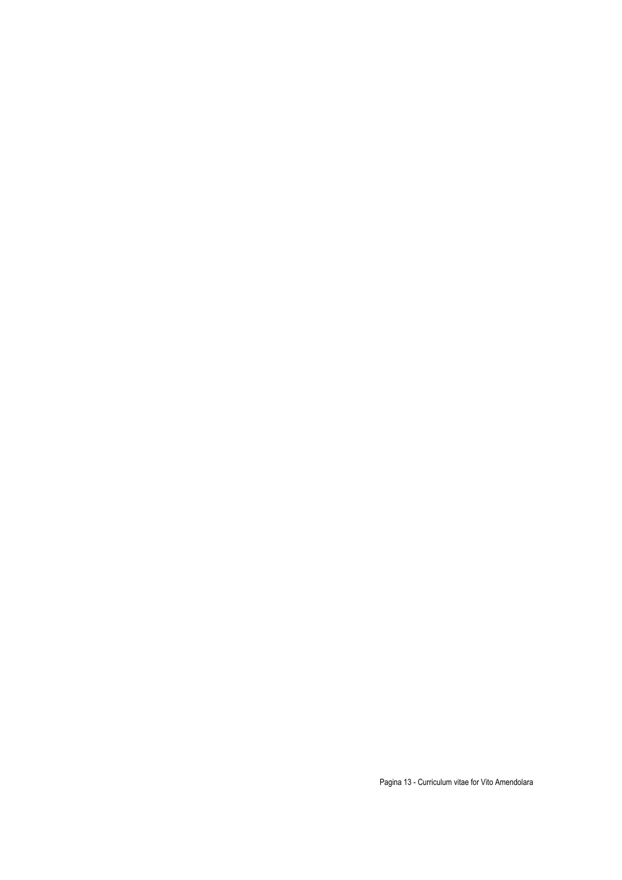Pagina 13 - Curriculum vitae for Vito Amendolara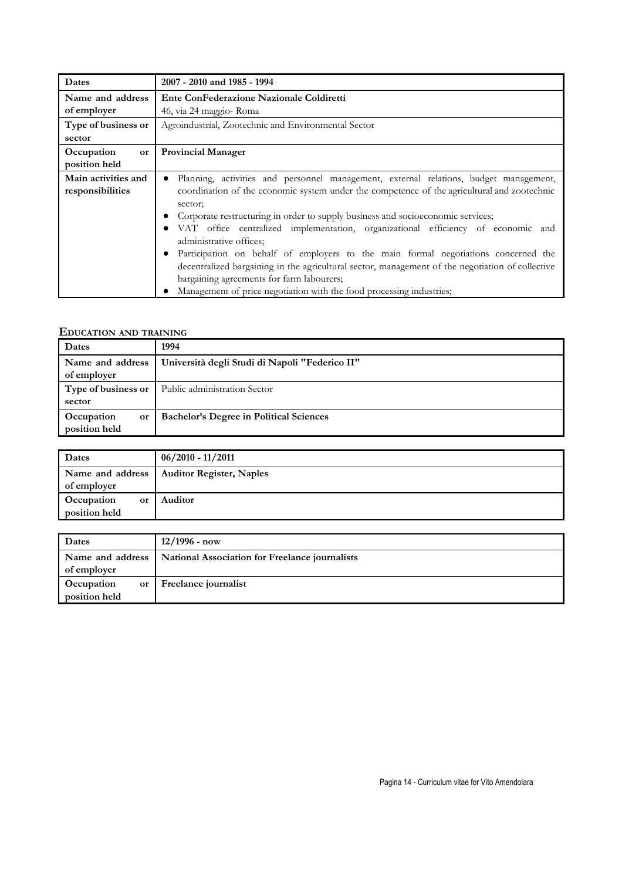| Dates                                   | 2007 - 2010 and 1985 - 1994                                                                                                                                                                                                                                                                                                                                                                       |
|-----------------------------------------|---------------------------------------------------------------------------------------------------------------------------------------------------------------------------------------------------------------------------------------------------------------------------------------------------------------------------------------------------------------------------------------------------|
| Name and address<br>of employer         | Ente ConFederazione Nazionale Coldiretti                                                                                                                                                                                                                                                                                                                                                          |
|                                         | 46, via 24 maggio- Roma                                                                                                                                                                                                                                                                                                                                                                           |
| Type of business or                     | Agroindustrial, Zootechnic and Environmental Sector                                                                                                                                                                                                                                                                                                                                               |
| sector                                  |                                                                                                                                                                                                                                                                                                                                                                                                   |
| Occupation<br>or                        | <b>Provincial Manager</b>                                                                                                                                                                                                                                                                                                                                                                         |
| position held                           |                                                                                                                                                                                                                                                                                                                                                                                                   |
| Main activities and<br>responsibilities | Planning, activities and personnel management, external relations, budget management,<br>coordination of the economic system under the competence of the agricultural and zootechnic<br>sector;<br>Corporate restructuring in order to supply business and socioeconomic services;<br>VAT office centralized implementation, organizational efficiency of economic and<br>administrative offices: |
|                                         | Participation on behalf of employers to the main formal negotiations concerned the<br>decentralized bargaining in the agricultural sector, management of the negotiation of collective<br>bargaining agreements for farm labourers;<br>Management of price negotiation with the food processing industries;                                                                                       |

## **EDUCATION AND TRAINING**

| Dates               | 1994                                           |
|---------------------|------------------------------------------------|
| Name and address    | Università degli Studi di Napoli "Federico II" |
| of employer         |                                                |
| Type of business or | Public administration Sector                   |
| sector              |                                                |
| Occupation<br>or    | <b>Bachelor's Degree in Political Sciences</b> |
| position held       |                                                |

| Dates            | $06/2010 - 11/2011$                         |
|------------------|---------------------------------------------|
|                  | Name and address   Auditor Register, Naples |
| of employer      |                                             |
| Occupation<br>or | <b>Auditor</b>                              |
| position held    |                                             |

| Dates            | 12/1996 - now                                         |
|------------------|-------------------------------------------------------|
| Name and address | <b>National Association for Freelance journalists</b> |
| of employer      |                                                       |
| Occupation<br>or | Freelance journalist                                  |
| position held    |                                                       |